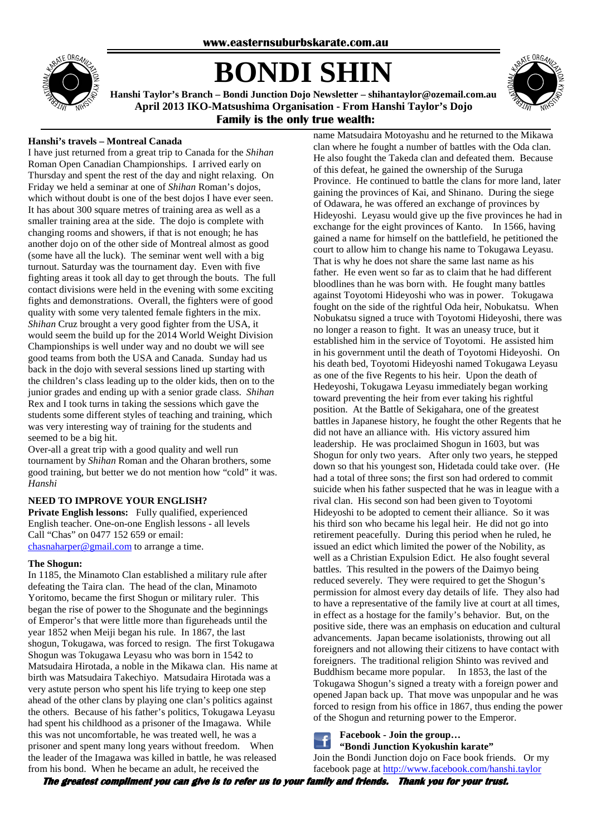

# **BONDI SHIN**



**Hanshi Taylor's Branch – Bondi Junction Dojo Newsletter – shihantaylor@ozemail.com.au April 2013 IKO-Matsushima Organisation - From Hanshi Taylor's Dojo Family is the only true wealth:** 

### **Hanshi's travels – Montreal Canada**

I have just returned from a great trip to Canada for the *Shihan* Roman Open Canadian Championships. I arrived early on Thursday and spent the rest of the day and night relaxing. On Friday we held a seminar at one of *Shihan* Roman's dojos, which without doubt is one of the best dojos I have ever seen. It has about 300 square metres of training area as well as a smaller training area at the side. The dojo is complete with changing rooms and showers, if that is not enough; he has another dojo on of the other side of Montreal almost as good (some have all the luck). The seminar went well with a big turnout. Saturday was the tournament day. Even with five fighting areas it took all day to get through the bouts. The full contact divisions were held in the evening with some exciting fights and demonstrations. Overall, the fighters were of good quality with some very talented female fighters in the mix. *Shihan* Cruz brought a very good fighter from the USA, it would seem the build up for the 2014 World Weight Division Championships is well under way and no doubt we will see good teams from both the USA and Canada. Sunday had us back in the dojo with several sessions lined up starting with the children's class leading up to the older kids, then on to the junior grades and ending up with a senior grade class. *Shihan* Rex and I took turns in taking the sessions which gave the students some different styles of teaching and training, which was very interesting way of training for the students and seemed to be a big hit.

Over-all a great trip with a good quality and well run tournament by *Shihan* Roman and the Oharan brothers, some good training, but better we do not mention how "cold" it was. *Hanshi* 

#### **NEED TO IMPROVE YOUR ENGLISH?**

**Private English lessons:** Fully qualified, experienced English teacher. One-on-one English lessons - all levels Call "Chas" on 0477 152 659 or email: chasnaharper@gmail.com to arrange a time.

#### **The Shogun:**

In 1185, the Minamoto Clan established a military rule after defeating the Taira clan. The head of the clan, Minamoto Yoritomo, became the first Shogun or military ruler. This began the rise of power to the Shogunate and the beginnings of Emperor's that were little more than figureheads until the year 1852 when Meiji began his rule. In 1867, the last shogun, Tokugawa, was forced to resign. The first Tokugawa Shogun was Tokugawa Leyasu who was born in 1542 to Matsudaira Hirotada, a noble in the Mikawa clan. His name at birth was Matsudaira Takechiyo. Matsudaira Hirotada was a very astute person who spent his life trying to keep one step ahead of the other clans by playing one clan's politics against the others. Because of his father's politics, Tokugawa Leyasu had spent his childhood as a prisoner of the Imagawa. While this was not uncomfortable, he was treated well, he was a prisoner and spent many long years without freedom. When the leader of the Imagawa was killed in battle, he was released from his bond. When he became an adult, he received the

name Matsudaira Motoyashu and he returned to the Mikawa clan where he fought a number of battles with the Oda clan. He also fought the Takeda clan and defeated them. Because of this defeat, he gained the ownership of the Suruga Province. He continued to battle the clans for more land, later gaining the provinces of Kai, and Shinano. During the siege of Odawara, he was offered an exchange of provinces by Hideyoshi. Leyasu would give up the five provinces he had in exchange for the eight provinces of Kanto. In 1566, having gained a name for himself on the battlefield, he petitioned the court to allow him to change his name to Tokugawa Leyasu. That is why he does not share the same last name as his father. He even went so far as to claim that he had different bloodlines than he was born with. He fought many battles against Toyotomi Hideyoshi who was in power. Tokugawa fought on the side of the rightful Oda heir, Nobukatsu. When Nobukatsu signed a truce with Toyotomi Hideyoshi, there was no longer a reason to fight. It was an uneasy truce, but it established him in the service of Toyotomi. He assisted him in his government until the death of Toyotomi Hideyoshi. On his death bed, Toyotomi Hideyoshi named Tokugawa Leyasu as one of the five Regents to his heir. Upon the death of Hedeyoshi, Tokugawa Leyasu immediately began working toward preventing the heir from ever taking his rightful position. At the Battle of Sekigahara, one of the greatest battles in Japanese history, he fought the other Regents that he did not have an alliance with. His victory assured him leadership. He was proclaimed Shogun in 1603, but was Shogun for only two years. After only two years, he stepped down so that his youngest son, Hidetada could take over. (He had a total of three sons; the first son had ordered to commit suicide when his father suspected that he was in league with a rival clan. His second son had been given to Toyotomi Hideyoshi to be adopted to cement their alliance. So it was his third son who became his legal heir. He did not go into retirement peacefully. During this period when he ruled, he issued an edict which limited the power of the Nobility, as well as a Christian Expulsion Edict. He also fought several battles. This resulted in the powers of the Daimyo being reduced severely. They were required to get the Shogun's permission for almost every day details of life. They also had to have a representative of the family live at court at all times, in effect as a hostage for the family's behavior. But, on the positive side, there was an emphasis on education and cultural advancements. Japan became isolationists, throwing out all foreigners and not allowing their citizens to have contact with foreigners. The traditional religion Shinto was revived and Buddhism became more popular. In 1853, the last of the Tokugawa Shogun's signed a treaty with a foreign power and opened Japan back up. That move was unpopular and he was forced to resign from his office in 1867, thus ending the power of the Shogun and returning power to the Emperor.

**Facebook - Join the group…** 

**"Bondi Junction Kyokushin karate"** 

Join the Bondi Junction dojo on Face book friends. Or my facebook page at http://www.facebook.com/hanshi.taylor